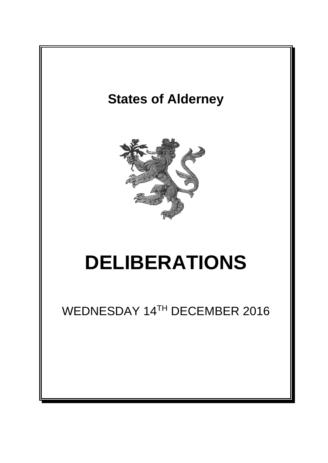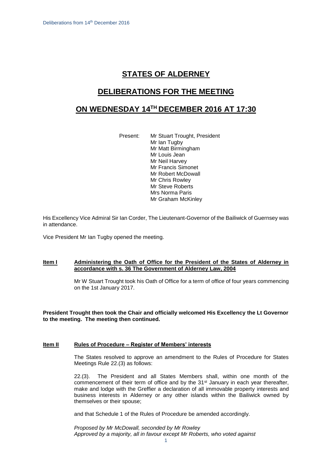# **STATES OF ALDERNEY**

### **DELIBERATIONS FOR THE MEETING**

## **ON WEDNESDAY 14 TH DECEMBER 2016 AT 17:30**

Present: Mr Stuart Trought, President Mr Ian Tugby Mr Matt Birmingham Mr Louis Jean Mr Neil Harvey Mr Francis Simonet Mr Robert McDowall Mr Chris Rowley Mr Steve Roberts Mrs Norma Paris Mr Graham McKinley

His Excellency Vice Admiral Sir Ian Corder, The Lieutenant-Governor of the Bailiwick of Guernsey was in attendance.

Vice President Mr Ian Tugby opened the meeting.

#### **Item I Administering the Oath of Office for the President of the States of Alderney in accordance with s. 36 The Government of Alderney Law, 2004**

Mr W Stuart Trought took his Oath of Office for a term of office of four years commencing on the 1st January 2017.

**President Trought then took the Chair and officially welcomed His Excellency the Lt Governor to the meeting. The meeting then continued.**

#### **Item II Rules of Procedure – Register of Members' interests**

The States resolved to approve an amendment to the Rules of Procedure for States Meetings Rule 22.(3) as follows:

22.(3). The President and all States Members shall, within one month of the commencement of their term of office and by the 31st January in each year thereafter, make and lodge with the Greffier a declaration of all immovable property interests and business interests in Alderney or any other islands within the Bailiwick owned by themselves or their spouse;

and that Schedule 1 of the Rules of Procedure be amended accordingly.

*Proposed by Mr McDowall, seconded by Mr Rowley Approved by a majority, all in favour except Mr Roberts, who voted against*